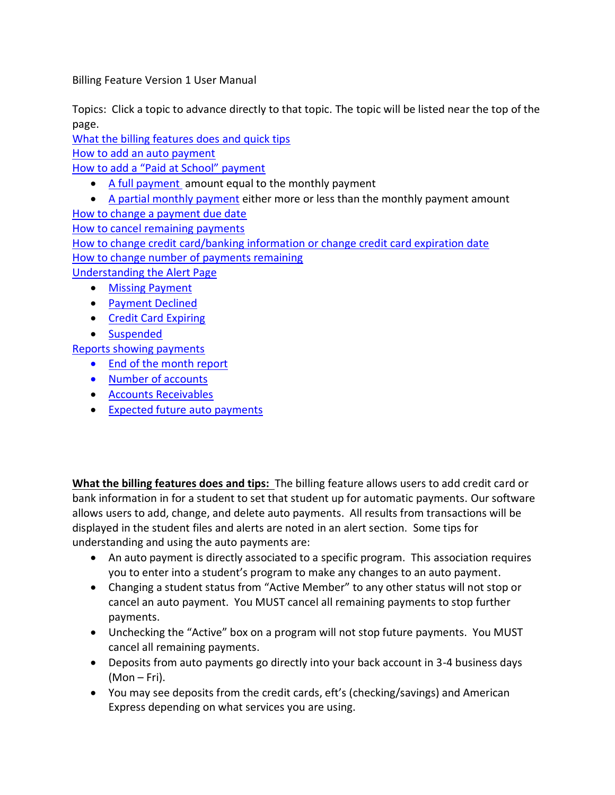Billing Feature Version 1 User Manual

Topics: Click a topic to advance directly to that topic. The topic will be listed near the top of the page.

[What the billing features does](#page-0-0) and quick tips [How to add an auto](#page-1-0) payment

[How to add a "Paid at School" payment](#page-1-1)

- [A full payment](#page-2-0) amount equal to the monthly payment
- [A partial monthly payment](#page-3-0) either more or less than the monthly payment amount [How to change a payment due date](#page-3-1) [How to cancel remaining payments](#page-3-2) [How to change credit card/banking information or change credit card expiration date](#page-4-0) [How to change number of payments remaining](#page-3-1) [Understanding the Alert Page](#page-4-1)
	- [Missing Payment](#page-4-2)
	- [Payment Declined](#page-4-2)
	- [Credit Card Expiring](#page-5-0)
	- [Suspended](#page-5-1)

[Reports showing payments](#page-5-2)

- [End of the month report](#page-5-2)
- [Number of accounts](#page-5-2)
- [Accounts Receivables](#page-5-2)
- [Expected future](#page-6-0) auto payments

<span id="page-0-0"></span>**What the billing features does and tips:** The billing feature allows users to add credit card or bank information in for a student to set that student up for automatic payments. Our software allows users to add, change, and delete auto payments. All results from transactions will be displayed in the student files and alerts are noted in an alert section. Some tips for understanding and using the auto payments are:

- An auto payment is directly associated to a specific program. This association requires you to enter into a student's program to make any changes to an auto payment.
- Changing a student status from "Active Member" to any other status will not stop or cancel an auto payment. You MUST cancel all remaining payments to stop further payments.
- Unchecking the "Active" box on a program will not stop future payments. You MUST cancel all remaining payments.
- Deposits from auto payments go directly into your back account in 3-4 business days (Mon – Fri).
- You may see deposits from the credit cards, eft's (checking/savings) and American Express depending on what services you are using.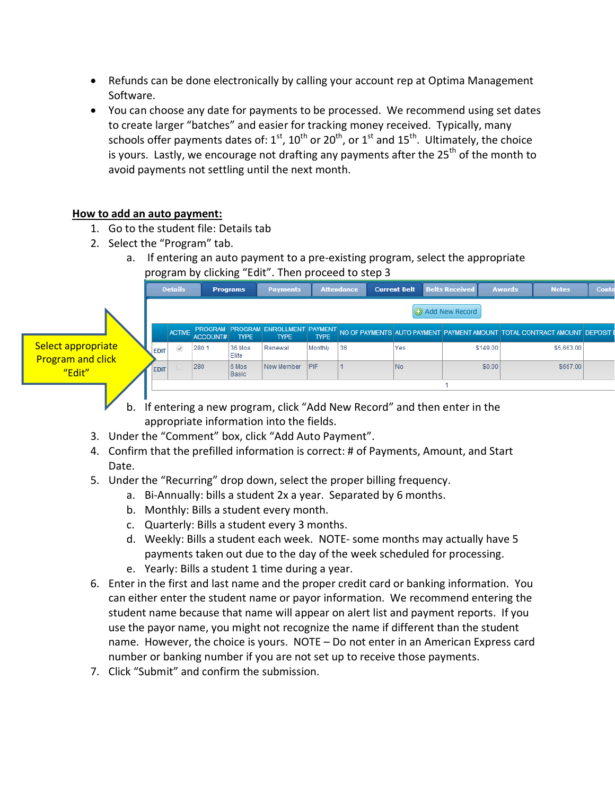- Refunds can be done electronically by calling your account rep at Optima Management Software.
- You can choose any date for payments to be processed. We recommend using set dates to create larger "batches" and easier for tracking money received. Typically, many schools offer payments dates of:  $1^{st}$ ,  $10^{th}$  or  $20^{th}$ , or  $1^{st}$  and  $15^{th}$ . Ultimately, the choice is yours. Lastly, we encourage not drafting any payments after the  $25<sup>th</sup>$  of the month to avoid payments not settling until the next month.

# <span id="page-1-0"></span>**How to add an auto payment:**

- 1. Go to the student file: Details tab
- 2. Select the "Program" tab.
	- a. If entering an auto payment to a pre-existing program, select the appropriate program by clicking "Edit". Then proceed to step 3

|                                                | <b>Details</b> |                |               |                                           | <b>Programs</b> | <b>Payments</b>                                                         |             | <b>Attendance</b> |  | <b>Current Belt</b> | <b>Belts Received</b> |          | <b>Awards</b> | <b>Notes</b>                                                               | Conta |
|------------------------------------------------|----------------|----------------|---------------|-------------------------------------------|-----------------|-------------------------------------------------------------------------|-------------|-------------------|--|---------------------|-----------------------|----------|---------------|----------------------------------------------------------------------------|-------|
|                                                |                | Add New Record |               |                                           |                 |                                                                         |             |                   |  |                     |                       |          |               |                                                                            |       |
| Select appropriate<br><b>Program and click</b> |                |                | <b>ACTIVE</b> | <b>PROGRAM PROGRAM</b><br><b>ACCOUNT#</b> | <b>TYPE</b>     | <b>ENROLLMENT PAYMENT</b><br><b>TYPE</b>                                | <b>TYPE</b> |                   |  |                     |                       |          |               | NO OF PAYMENTS AUTO PAYMENT PAYMENT AMOUNT TOTAL CONTRACT AMOUNT DEPOSIT E |       |
|                                                |                | <b>EDIT</b>    | $\mathcal{A}$ | 280.1                                     | 36 Mos<br>Elite | Renewal                                                                 | Monthly     | 36                |  | Yes                 |                       | \$149.00 |               | \$5,663.00                                                                 |       |
| "Edit"                                         |                | <b>EDIT</b>    |               | 280                                       | 6 Mos<br>Basic  | New Member                                                              | <b>PIF</b>  |                   |  | No.                 |                       | \$0.00   |               | \$667.00                                                                   |       |
|                                                |                |                |               |                                           |                 |                                                                         |             |                   |  |                     |                       |          |               |                                                                            |       |
| b.                                             |                |                |               |                                           |                 | If entering a new program, click "Add New Record" and then enter in the |             |                   |  |                     |                       |          |               |                                                                            |       |

- appropriate information into the fields.
- 3. Under the "Comment" box, click "Add Auto Payment".
- 4. Confirm that the prefilled information is correct: # of Payments, Amount, and Start Date.
- 5. Under the "Recurring" drop down, select the proper billing frequency.
	- a. Bi-Annually: bills a student 2x a year. Separated by 6 months.
	- b. Monthly: Bills a student every month.
	- c. Quarterly: Bills a student every 3 months.
	- d. Weekly: Bills a student each week. NOTE- some months may actually have 5 payments taken out due to the day of the week scheduled for processing.
	- e. Yearly: Bills a student 1 time during a year.
- 6. Enter in the first and last name and the proper credit card or banking information. You can either enter the student name or payor information. We recommend entering the student name because that name will appear on alert list and payment reports. If you use the payor name, you might not recognize the name if different than the student name. However, the choice is yours. NOTE – Do not enter in an American Express card number or banking number if you are not set up to receive those payments.
- <span id="page-1-1"></span>7. Click "Submit" and confirm the submission.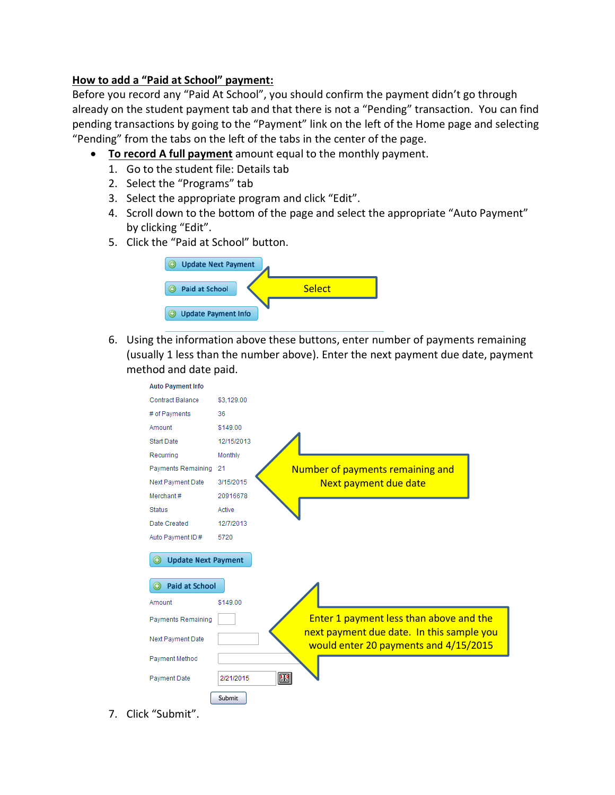## **How to add a "Paid at School" payment:**

Before you record any "Paid At School", you should confirm the payment didn't go through already on the student payment tab and that there is not a "Pending" transaction. You can find pending transactions by going to the "Payment" link on the left of the Home page and selecting "Pending" from the tabs on the left of the tabs in the center of the page.

- <span id="page-2-0"></span> **To record A full payment** amount equal to the monthly payment.
	- 1. Go to the student file: Details tab
	- 2. Select the "Programs" tab
	- 3. Select the appropriate program and click "Edit".
	- 4. Scroll down to the bottom of the page and select the appropriate "Auto Payment" by clicking "Edit".
	- 5. Click the "Paid at School" button.



6. Using the information above these buttons, enter number of payments remaining (usually 1 less than the number above). Enter the next payment due date, payment method and date paid.



7. Click "Submit".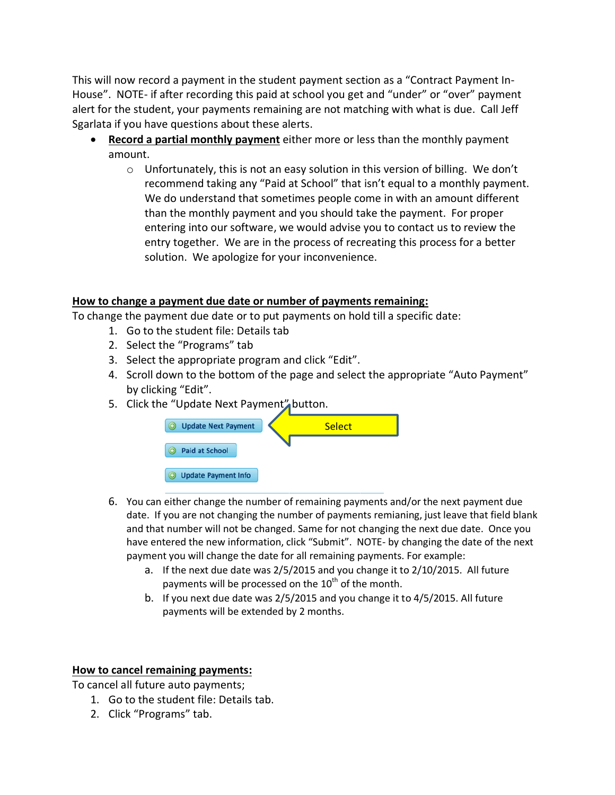This will now record a payment in the student payment section as a "Contract Payment In-House". NOTE- if after recording this paid at school you get and "under" or "over" payment alert for the student, your payments remaining are not matching with what is due. Call Jeff Sgarlata if you have questions about these alerts.

- <span id="page-3-0"></span> **Record a partial monthly payment** either more or less than the monthly payment amount.
	- $\circ$  Unfortunately, this is not an easy solution in this version of billing. We don't recommend taking any "Paid at School" that isn't equal to a monthly payment. We do understand that sometimes people come in with an amount different than the monthly payment and you should take the payment. For proper entering into our software, we would advise you to contact us to review the entry together. We are in the process of recreating this process for a better solution. We apologize for your inconvenience.

### <span id="page-3-1"></span>**How to change a payment due date or number of payments remaining:**

To change the payment due date or to put payments on hold till a specific date:

- 1. Go to the student file: Details tab
- 2. Select the "Programs" tab
- 3. Select the appropriate program and click "Edit".
- 4. Scroll down to the bottom of the page and select the appropriate "Auto Payment" by clicking "Edit".
- 5. Click the "Update Next Payment" button.



- 6. You can either change the number of remaining payments and/or the next payment due date. If you are not changing the number of payments remianing, just leave that field blank and that number will not be changed. Same for not changing the next due date. Once you have entered the new information, click "Submit". NOTE- by changing the date of the next payment you will change the date for all remaining payments. For example:
	- a. If the next due date was 2/5/2015 and you change it to 2/10/2015. All future payments will be processed on the  $10^{th}$  of the month.
	- b. If you next due date was 2/5/2015 and you change it to 4/5/2015. All future payments will be extended by 2 months.

#### <span id="page-3-2"></span>**How to cancel remaining payments:**

To cancel all future auto payments;

- 1. Go to the student file: Details tab.
- 2. Click "Programs" tab.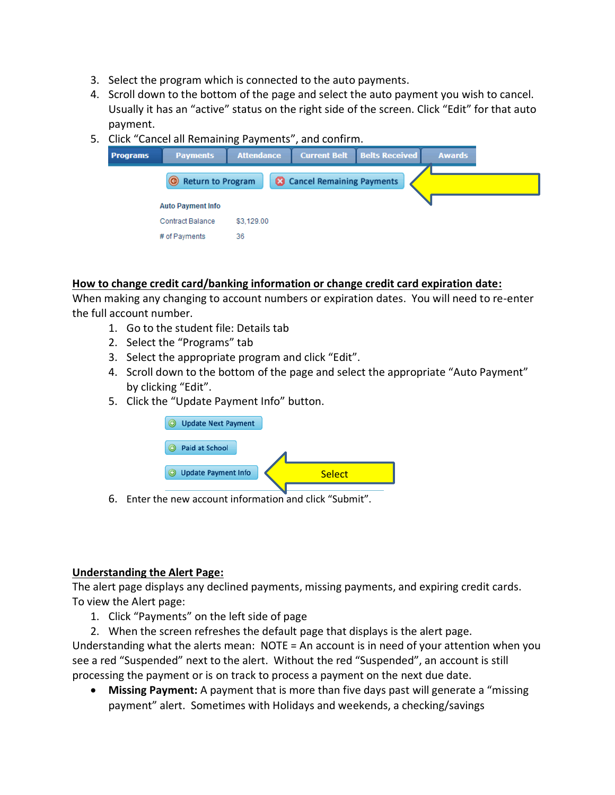- 3. Select the program which is connected to the auto payments.
- 4. Scroll down to the bottom of the page and select the auto payment you wish to cancel. Usually it has an "active" status on the right side of the screen. Click "Edit" for that auto payment.
- 5. Click "Cancel all Remaining Payments", and confirm.

| rograms                  | <b>Payments</b>   | <b>Attendance</b> | <b>Current Belt Belts Received</b> |  | <b>Awards</b> |
|--------------------------|-------------------|-------------------|------------------------------------|--|---------------|
|                          | Return to Program |                   | <b>Cancel Remaining Payments</b>   |  |               |
| <b>Auto Payment Info</b> |                   |                   |                                    |  |               |
| <b>Contract Balance</b>  |                   | \$3,129.00        |                                    |  |               |
| # of Payments            |                   | 36                |                                    |  |               |

### <span id="page-4-0"></span>**How to change credit card/banking information or change credit card expiration date:**

When making any changing to account numbers or expiration dates. You will need to re-enter the full account number.

- 1. Go to the student file: Details tab
- 2. Select the "Programs" tab
- 3. Select the appropriate program and click "Edit".
- 4. Scroll down to the bottom of the page and select the appropriate "Auto Payment" by clicking "Edit".
- 5. Click the "Update Payment Info" button.



6. Enter the new account information and click "Submit".

#### <span id="page-4-1"></span>**Understanding the Alert Page:**

The alert page displays any declined payments, missing payments, and expiring credit cards. To view the Alert page:

- 1. Click "Payments" on the left side of page
- 2. When the screen refreshes the default page that displays is the alert page.

<span id="page-4-2"></span>Understanding what the alerts mean: NOTE = An account is in need of your attention when you see a red "Suspended" next to the alert. Without the red "Suspended", an account is still processing the payment or is on track to process a payment on the next due date.

 **Missing Payment:** A payment that is more than five days past will generate a "missing payment" alert. Sometimes with Holidays and weekends, a checking/savings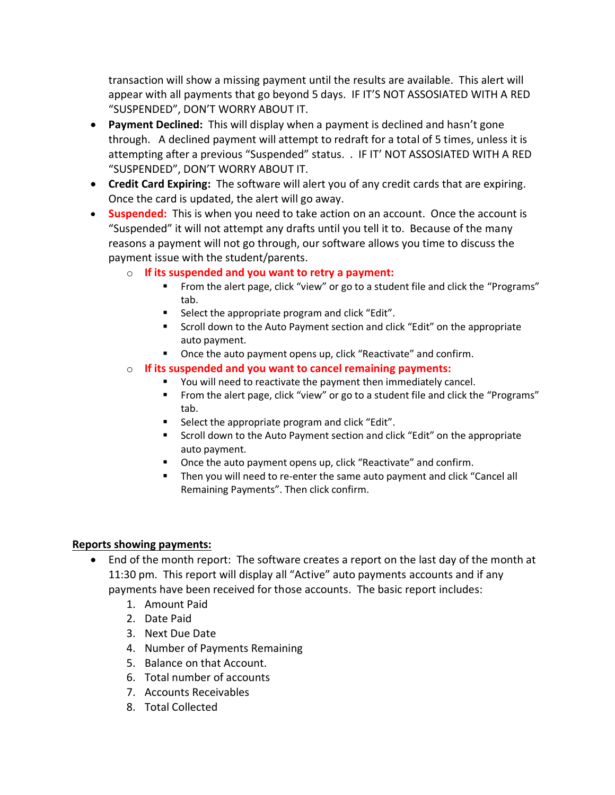transaction will show a missing payment until the results are available. This alert will appear with all payments that go beyond 5 days. IF IT'S NOT ASSOSIATED WITH A RED "SUSPENDED", DON'T WORRY ABOUT IT.

- <span id="page-5-0"></span> **Payment Declined:** This will display when a payment is declined and hasn't gone through. A declined payment will attempt to redraft for a total of 5 times, unless it is attempting after a previous "Suspended" status. . IF IT' NOT ASSOSIATED WITH A RED "SUSPENDED", DON'T WORRY ABOUT IT.
- <span id="page-5-1"></span> **Credit Card Expiring:** The software will alert you of any credit cards that are expiring. Once the card is updated, the alert will go away.
- **Suspended:** This is when you need to take action on an account. Once the account is "Suspended" it will not attempt any drafts until you tell it to. Because of the many reasons a payment will not go through, our software allows you time to discuss the payment issue with the student/parents.
	- o **If its suspended and you want to retry a payment:**
		- **From the alert page, click "view" or go to a student file and click the "Programs"** tab.
		- **Select the appropriate program and click "Edit".**
		- Scroll down to the Auto Payment section and click "Edit" on the appropriate auto payment.
		- **•** Once the auto payment opens up, click "Reactivate" and confirm.
	- o **If its suspended and you want to cancel remaining payments:**
		- You will need to reactivate the payment then immediately cancel.
		- From the alert page, click "view" or go to a student file and click the "Programs" tab.
		- Select the appropriate program and click "Edit".
		- **Scroll down to the Auto Payment section and click "Edit" on the appropriate** auto payment.
		- Once the auto payment opens up, click "Reactivate" and confirm.
		- Then you will need to re-enter the same auto payment and click "Cancel all Remaining Payments". Then click confirm.

# <span id="page-5-2"></span>**Reports showing payments:**

- End of the month report: The software creates a report on the last day of the month at 11:30 pm. This report will display all "Active" auto payments accounts and if any payments have been received for those accounts. The basic report includes:
	- 1. Amount Paid
	- 2. Date Paid
	- 3. Next Due Date
	- 4. Number of Payments Remaining
	- 5. Balance on that Account.
	- 6. Total number of accounts
	- 7. Accounts Receivables
	- 8. Total Collected